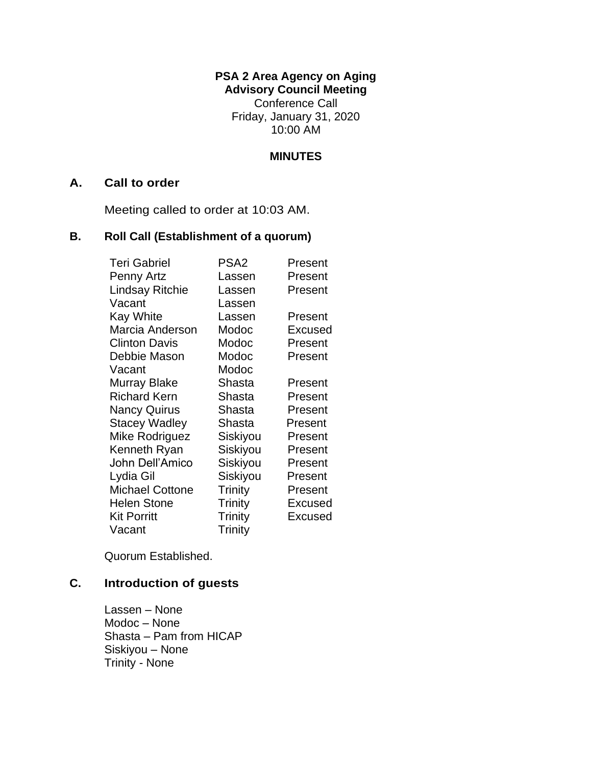# **PSA 2 Area Agency on Aging**

**Advisory Council Meeting** Conference Call Friday, January 31, 2020 10:00 AM

#### **MINUTES**

#### **A. Call to order**

Meeting called to order at 10:03 AM.

# **B. Roll Call (Establishment of a quorum)**

| <b>Teri Gabriel</b>    | PSA2           | Present |
|------------------------|----------------|---------|
| Penny Artz             | Lassen         | Present |
| <b>Lindsay Ritchie</b> | Lassen         | Present |
| Vacant                 | Lassen         |         |
| <b>Kay White</b>       | Lassen         | Present |
| Marcia Anderson        | Modoc          | Excused |
| <b>Clinton Davis</b>   | Modoc          | Present |
| Debbie Mason           | Modoc          | Present |
| Vacant                 | Modoc          |         |
| Murray Blake           | Shasta         | Present |
| <b>Richard Kern</b>    | Shasta         | Present |
| <b>Nancy Quirus</b>    | Shasta         | Present |
| <b>Stacey Wadley</b>   | Shasta         | Present |
| Mike Rodriguez         | Siskiyou       | Present |
| Kenneth Ryan           | Siskiyou       | Present |
| John Dell'Amico        | Siskiyou       | Present |
| Lydia Gil              | Siskiyou       | Present |
| <b>Michael Cottone</b> | <b>Trinity</b> | Present |
| <b>Helen Stone</b>     | Trinity        | Excused |
| <b>Kit Porritt</b>     | <b>Trinity</b> | Excused |
| Vacant                 | Trinity        |         |

Quorum Established.

# **C. Introduction of guests**

Lassen – None Modoc – None Shasta – Pam from HICAP Siskiyou – None Trinity - None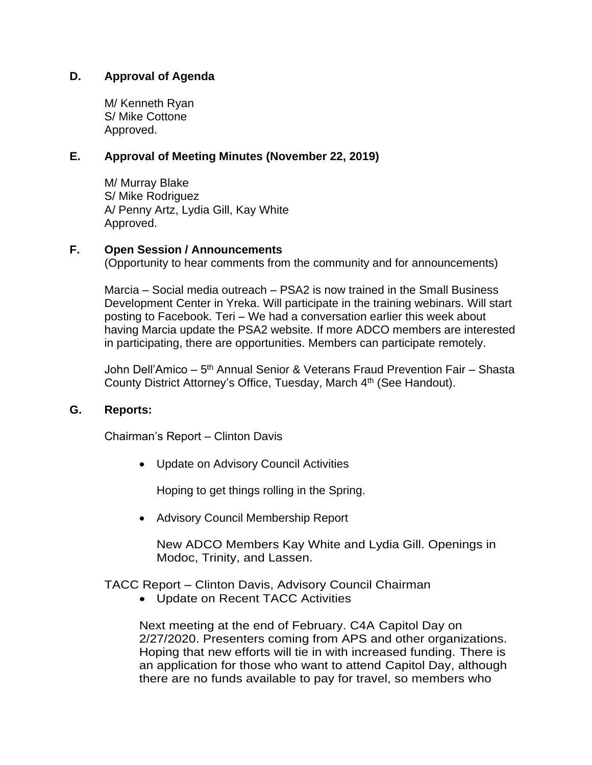### **D. Approval of Agenda**

M/ Kenneth Ryan S/ Mike Cottone Approved.

#### **E. Approval of Meeting Minutes (November 22, 2019)**

M/ Murray Blake S/ Mike Rodriguez A/ Penny Artz, Lydia Gill, Kay White Approved.

#### **F. Open Session / Announcements**

(Opportunity to hear comments from the community and for announcements)

Marcia – Social media outreach – PSA2 is now trained in the Small Business Development Center in Yreka. Will participate in the training webinars. Will start posting to Facebook. Teri – We had a conversation earlier this week about having Marcia update the PSA2 website. If more ADCO members are interested in participating, there are opportunities. Members can participate remotely.

John Dell'Amico – 5<sup>th</sup> Annual Senior & Veterans Fraud Prevention Fair – Shasta County District Attorney's Office, Tuesday, March 4<sup>th</sup> (See Handout).

#### **G. Reports:**

Chairman's Report – Clinton Davis

• Update on Advisory Council Activities

Hoping to get things rolling in the Spring.

• Advisory Council Membership Report

New ADCO Members Kay White and Lydia Gill. Openings in Modoc, Trinity, and Lassen.

#### TACC Report – Clinton Davis, Advisory Council Chairman

• Update on Recent TACC Activities

Next meeting at the end of February. C4A Capitol Day on 2/27/2020. Presenters coming from APS and other organizations. Hoping that new efforts will tie in with increased funding. There is an application for those who want to attend Capitol Day, although there are no funds available to pay for travel, so members who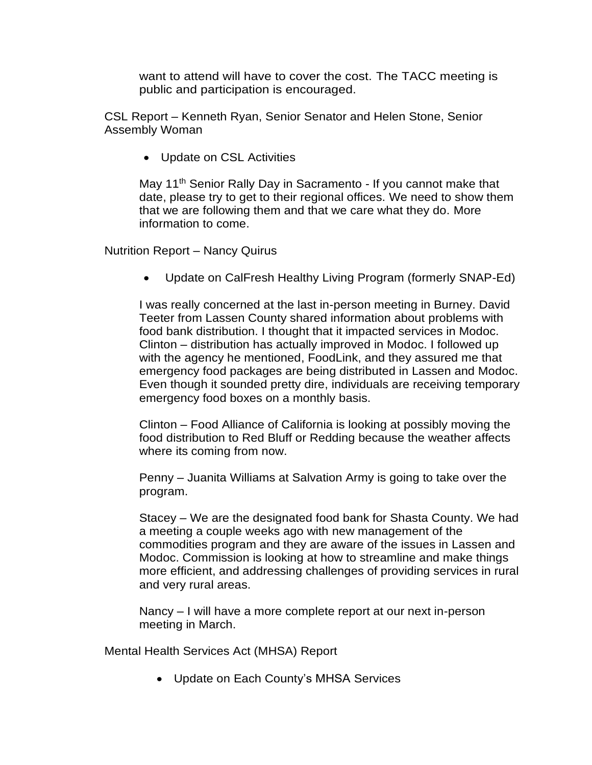want to attend will have to cover the cost. The TACC meeting is public and participation is encouraged.

CSL Report – Kenneth Ryan, Senior Senator and Helen Stone, Senior Assembly Woman

• Update on CSL Activities

May 11<sup>th</sup> Senior Rally Day in Sacramento - If you cannot make that date, please try to get to their regional offices. We need to show them that we are following them and that we care what they do. More information to come.

Nutrition Report – Nancy Quirus

• Update on CalFresh Healthy Living Program (formerly SNAP-Ed)

I was really concerned at the last in-person meeting in Burney. David Teeter from Lassen County shared information about problems with food bank distribution. I thought that it impacted services in Modoc. Clinton – distribution has actually improved in Modoc. I followed up with the agency he mentioned, FoodLink, and they assured me that emergency food packages are being distributed in Lassen and Modoc. Even though it sounded pretty dire, individuals are receiving temporary emergency food boxes on a monthly basis.

Clinton – Food Alliance of California is looking at possibly moving the food distribution to Red Bluff or Redding because the weather affects where its coming from now.

Penny – Juanita Williams at Salvation Army is going to take over the program.

Stacey – We are the designated food bank for Shasta County. We had a meeting a couple weeks ago with new management of the commodities program and they are aware of the issues in Lassen and Modoc. Commission is looking at how to streamline and make things more efficient, and addressing challenges of providing services in rural and very rural areas.

Nancy – I will have a more complete report at our next in-person meeting in March.

Mental Health Services Act (MHSA) Report

• Update on Each County's MHSA Services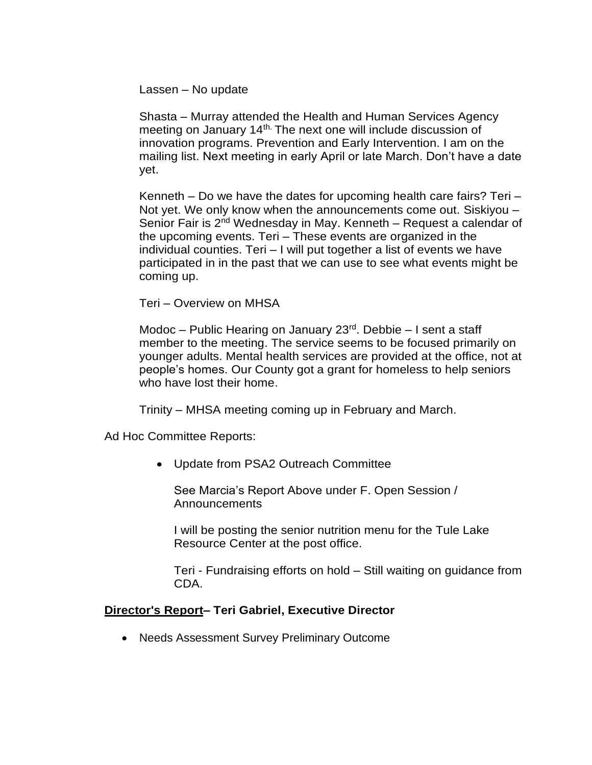Lassen – No update

Shasta – Murray attended the Health and Human Services Agency meeting on January 14th. The next one will include discussion of innovation programs. Prevention and Early Intervention. I am on the mailing list. Next meeting in early April or late March. Don't have a date yet.

Kenneth – Do we have the dates for upcoming health care fairs? Teri – Not yet. We only know when the announcements come out. Siskiyou – Senior Fair is 2<sup>nd</sup> Wednesday in May. Kenneth – Request a calendar of the upcoming events. Teri – These events are organized in the individual counties. Teri – I will put together a list of events we have participated in in the past that we can use to see what events might be coming up.

Teri – Overview on MHSA

Modoc – Public Hearing on January 23<sup>rd</sup>. Debbie – I sent a staff member to the meeting. The service seems to be focused primarily on younger adults. Mental health services are provided at the office, not at people's homes. Our County got a grant for homeless to help seniors who have lost their home.

Trinity – MHSA meeting coming up in February and March.

Ad Hoc Committee Reports:

• Update from PSA2 Outreach Committee

See Marcia's Report Above under F. Open Session / Announcements

I will be posting the senior nutrition menu for the Tule Lake Resource Center at the post office.

Teri - Fundraising efforts on hold – Still waiting on guidance from CDA.

#### **Director's Report– Teri Gabriel, Executive Director**

• Needs Assessment Survey Preliminary Outcome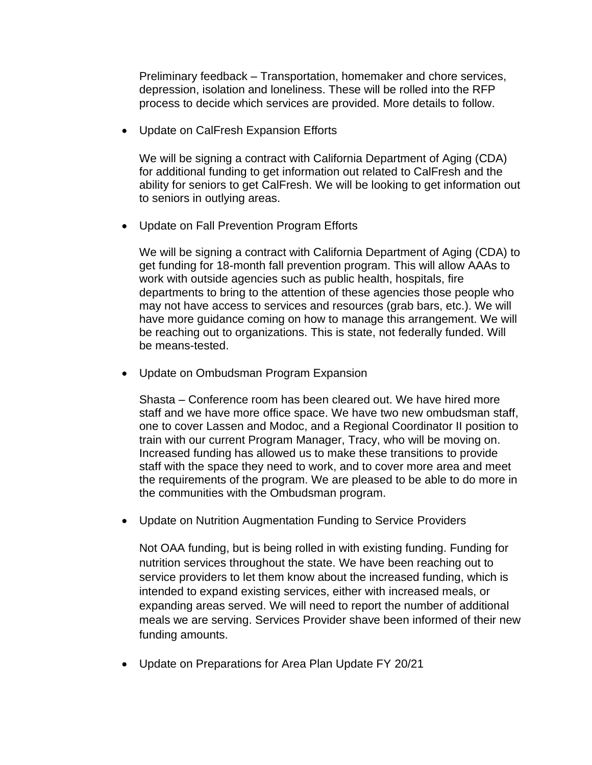Preliminary feedback – Transportation, homemaker and chore services, depression, isolation and loneliness. These will be rolled into the RFP process to decide which services are provided. More details to follow.

• Update on CalFresh Expansion Efforts

We will be signing a contract with California Department of Aging (CDA) for additional funding to get information out related to CalFresh and the ability for seniors to get CalFresh. We will be looking to get information out to seniors in outlying areas.

• Update on Fall Prevention Program Efforts

We will be signing a contract with California Department of Aging (CDA) to get funding for 18-month fall prevention program. This will allow AAAs to work with outside agencies such as public health, hospitals, fire departments to bring to the attention of these agencies those people who may not have access to services and resources (grab bars, etc.). We will have more guidance coming on how to manage this arrangement. We will be reaching out to organizations. This is state, not federally funded. Will be means-tested.

• Update on Ombudsman Program Expansion

Shasta – Conference room has been cleared out. We have hired more staff and we have more office space. We have two new ombudsman staff, one to cover Lassen and Modoc, and a Regional Coordinator II position to train with our current Program Manager, Tracy, who will be moving on. Increased funding has allowed us to make these transitions to provide staff with the space they need to work, and to cover more area and meet the requirements of the program. We are pleased to be able to do more in the communities with the Ombudsman program.

• Update on Nutrition Augmentation Funding to Service Providers

Not OAA funding, but is being rolled in with existing funding. Funding for nutrition services throughout the state. We have been reaching out to service providers to let them know about the increased funding, which is intended to expand existing services, either with increased meals, or expanding areas served. We will need to report the number of additional meals we are serving. Services Provider shave been informed of their new funding amounts.

• Update on Preparations for Area Plan Update FY 20/21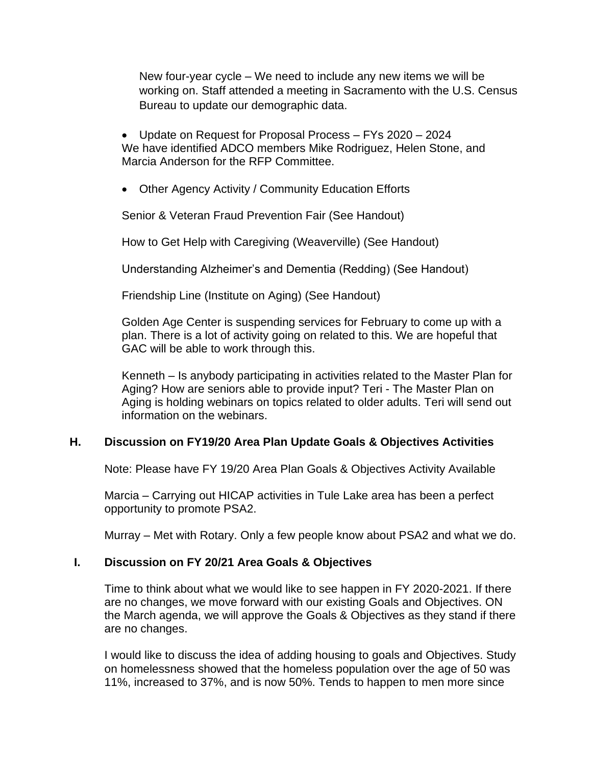New four-year cycle – We need to include any new items we will be working on. Staff attended a meeting in Sacramento with the U.S. Census Bureau to update our demographic data.

• Update on Request for Proposal Process – FYs 2020 – 2024 We have identified ADCO members Mike Rodriguez, Helen Stone, and Marcia Anderson for the RFP Committee.

• Other Agency Activity / Community Education Efforts

Senior & Veteran Fraud Prevention Fair (See Handout)

How to Get Help with Caregiving (Weaverville) (See Handout)

Understanding Alzheimer's and Dementia (Redding) (See Handout)

Friendship Line (Institute on Aging) (See Handout)

Golden Age Center is suspending services for February to come up with a plan. There is a lot of activity going on related to this. We are hopeful that GAC will be able to work through this.

Kenneth – Is anybody participating in activities related to the Master Plan for Aging? How are seniors able to provide input? Teri - The Master Plan on Aging is holding webinars on topics related to older adults. Teri will send out information on the webinars.

# **H. Discussion on FY19/20 Area Plan Update Goals & Objectives Activities**

Note: Please have FY 19/20 Area Plan Goals & Objectives Activity Available

Marcia – Carrying out HICAP activities in Tule Lake area has been a perfect opportunity to promote PSA2.

Murray – Met with Rotary. Only a few people know about PSA2 and what we do.

# **I. Discussion on FY 20/21 Area Goals & Objectives**

Time to think about what we would like to see happen in FY 2020-2021. If there are no changes, we move forward with our existing Goals and Objectives. ON the March agenda, we will approve the Goals & Objectives as they stand if there are no changes.

I would like to discuss the idea of adding housing to goals and Objectives. Study on homelessness showed that the homeless population over the age of 50 was 11%, increased to 37%, and is now 50%. Tends to happen to men more since